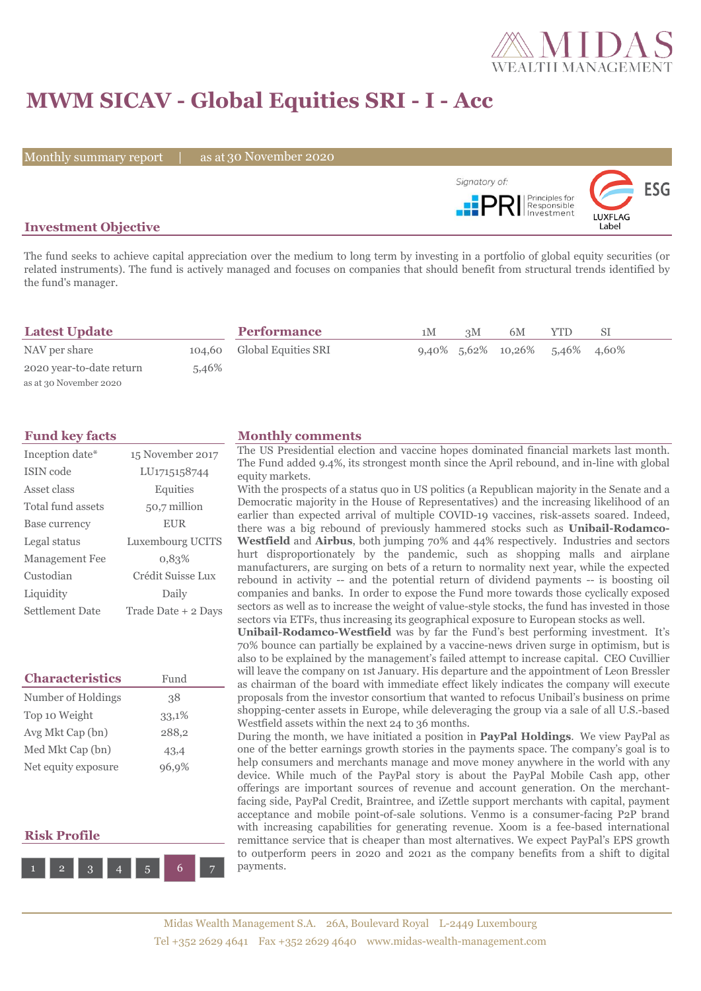

# **MWM SICAV - Global Equities SRI - I - Acc**

Monthly summary report | as at 30 November 2020



## **Investment Objective**

The fund seeks to achieve capital appreciation over the medium to long term by investing in a portfolio of global equity securities (or related instruments). The fund is actively managed and focuses on companies that should benefit from structural trends identified by the fund's manager.

| <b>Latest Update</b>     |       | <b>Performance</b>         | 1M | 3M | 6M                             | YTD | SI |  |
|--------------------------|-------|----------------------------|----|----|--------------------------------|-----|----|--|
| NAV per share            |       | 104,60 Global Equities SRI |    |    | 9,40% 5,62% 10,26% 5,46% 4,60% |     |    |  |
| 2020 year-to-date return | 5,46% |                            |    |    |                                |     |    |  |
| as at 30 November 2020   |       |                            |    |    |                                |     |    |  |

| Inception date*       | 15 November 2017    |
|-----------------------|---------------------|
| <b>ISIN</b> code      | LU1715158744        |
| Asset class           | Equities            |
| Total fund assets     | 50,7 million        |
| Base currency         | <b>EUR</b>          |
| Legal status          | Luxembourg UCITS    |
| <b>Management Fee</b> | 0.83%               |
| Custodian             | Crédit Suisse Lux   |
| Liquidity             | Daily               |
| Settlement Date       | Trade Date + 2 Days |

| <b>Characteristics</b> | Fund  |
|------------------------|-------|
| Number of Holdings     | 38    |
| Top 10 Weight          | 33,1% |
| Avg Mkt Cap (bn)       | 288,2 |
| Med Mkt Cap (bn)       | 43,4  |
| Net equity exposure    | 96,9% |

# **Risk Profile**



### **Fund key facts Monthly comments**

The US Presidential election and vaccine hopes dominated financial markets last month. The Fund added 9.4%, its strongest month since the April rebound, and in-line with global equity markets.

With the prospects of a status quo in US politics (a Republican majority in the Senate and a Democratic majority in the House of Representatives) and the increasing likelihood of an earlier than expected arrival of multiple COVID-19 vaccines, risk-assets soared. Indeed, there was a big rebound of previously hammered stocks such as **Unibail-Rodamco-Westfield** and **Airbus**, both jumping 70% and 44% respectively. Industries and sectors hurt disproportionately by the pandemic, such as shopping malls and airplane manufacturers, are surging on bets of a return to normality next year, while the expected rebound in activity -- and the potential return of dividend payments -- is boosting oil companies and banks. In order to expose the Fund more towards those cyclically exposed sectors as well as to increase the weight of value-style stocks, the fund has invested in those sectors via ETFs, thus increasing its geographical exposure to European stocks as well.

**Unibail-Rodamco-Westfield** was by far the Fund's best performing investment. It's 70% bounce can partially be explained by a vaccine-news driven surge in optimism, but is also to be explained by the management's failed attempt to increase capital. CEO Cuvillier will leave the company on 1st January. His departure and the appointment of Leon Bressler as chairman of the board with immediate effect likely indicates the company will execute proposals from the investor consortium that wanted to refocus Unibail's business on prime shopping-center assets in Europe, while deleveraging the group via a sale of all U.S.-based Westfield assets within the next 24 to 36 months.

During the month, we have initiated a position in **PayPal Holdings**. We view PayPal as one of the better earnings growth stories in the payments space. The company's goal is to help consumers and merchants manage and move money anywhere in the world with any device. While much of the PayPal story is about the PayPal Mobile Cash app, other offerings are important sources of revenue and account generation. On the merchantfacing side, PayPal Credit, Braintree, and iZettle support merchants with capital, payment acceptance and mobile point-of-sale solutions. Venmo is a consumer-facing P2P brand with increasing capabilities for generating revenue. Xoom is a fee-based international remittance service that is cheaper than most alternatives. We expect PayPal's EPS growth to outperform peers in 2020 and 2021 as the company benefits from a shift to digital payments.